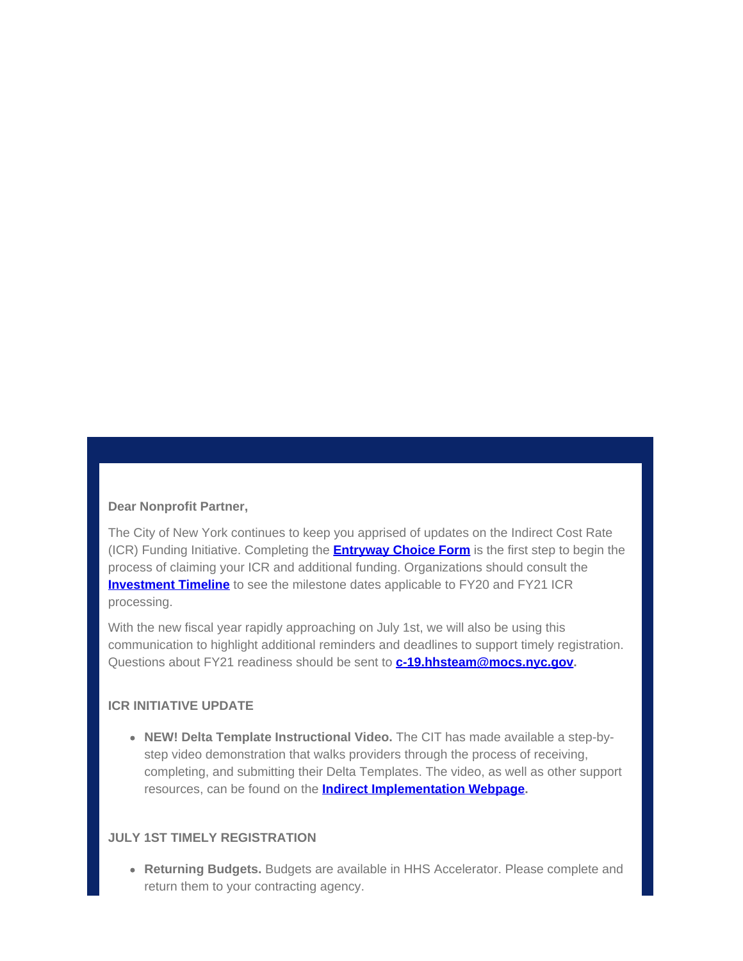## **Dear Nonprofit Partner,**

The City of New York continues to keep you apprised of updates on the Indirect Cost Rate (ICR) Funding Initiative. Completing the **[Entryway Choice Form](https://gcc01.safelinks.protection.outlook.com/?url=https%3A%2F%2Fwww1.nyc.gov%2Fsite%2Fnonprofits%2Ffunded-providers%2Findirect-entryway-choice-form.page%3Futm_medium%3Demail%26utm_source%3Dgovdelivery&data=02%7C01%7Coluwa.small%40mocs.nyc.gov%7C0a33ee2254b64cde6ac008d7f1c74825%7C32f56fc75f814e22a95b15da66513bef%7C0%7C0%7C637243711254118548&sdata=JuPQDzuMYIJ5MG5x2JkwraYIggTCwXMEWHdLY9CPIfA%3D&reserved=0)** is the first step to begin the process of claiming your ICR and additional funding. Organizations should consult the **[Investment Timeline](https://gcc01.safelinks.protection.outlook.com/?url=https%3A%2F%2Fwww1.nyc.gov%2Fassets%2Fnonprofits%2Fdownloads%2Fpdf%2FInvestment%2520Timeline.pdf%3Futm_medium%3Demail%26utm_source%3Dgovdelivery&data=02%7C01%7Coluwa.small%40mocs.nyc.gov%7C0a33ee2254b64cde6ac008d7f1c74825%7C32f56fc75f814e22a95b15da66513bef%7C0%7C0%7C637243711254118548&sdata=anQ9JQqn%2BBB7lp1NH5im%2Bb2R532MHuuxSa9fZHb%2B%2BFA%3D&reserved=0)** to see the milestone dates applicable to FY20 and FY21 ICR processing.

With the new fiscal year rapidly approaching on July 1st, we will also be using this communication to highlight additional reminders and deadlines to support timely registration. Questions about FY21 readiness should be sent to **[c-19.hhsteam@mocs.nyc.gov](mailto:c-19.hhsteam@mocs.nyc.gov).**

## **ICR INITIATIVE UPDATE**

**NEW! Delta Template Instructional Video.** The CIT has made available a step-bystep video demonstration that walks providers through the process of receiving, completing, and submitting their Delta Templates. The video, as well as other support resources, can be found on the **[Indirect Implementation Webpage](https://gcc01.safelinks.protection.outlook.com/?url=https%3A%2F%2Fwww1.nyc.gov%2Fsite%2Fnonprofits%2Ffunded-providers%2Findirect-implementation.page%3Futm_medium%3Demail%26utm_source%3Dgovdelivery&data=02%7C01%7Coluwa.small%40mocs.nyc.gov%7C0a33ee2254b64cde6ac008d7f1c74825%7C32f56fc75f814e22a95b15da66513bef%7C0%7C0%7C637243711254128504&sdata=73fnMarx%2BXJ29VUJ%2F%2BoSHeGjmumq2Lqa7xVfYvvTXa4%3D&reserved=0).**

#### **JULY 1ST TIMELY REGISTRATION**

**Returning Budgets.** Budgets are available in HHS Accelerator. Please complete and return them to your contracting agency.